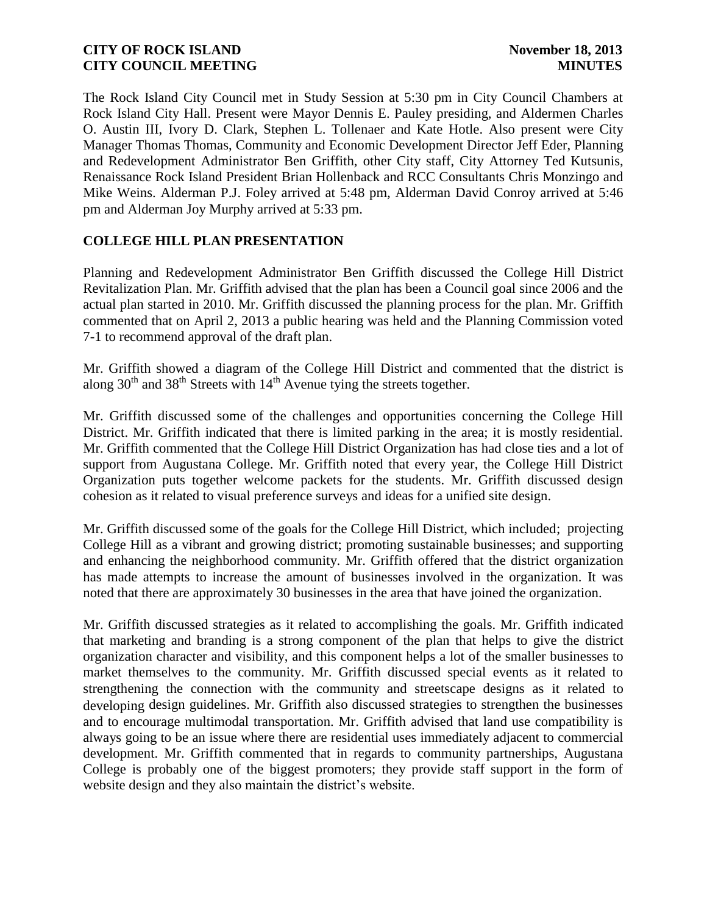The Rock Island City Council met in Study Session at 5:30 pm in City Council Chambers at Rock Island City Hall. Present were Mayor Dennis E. Pauley presiding, and Aldermen Charles O. Austin III, Ivory D. Clark, Stephen L. Tollenaer and Kate Hotle. Also present were City Manager Thomas Thomas, Community and Economic Development Director Jeff Eder, Planning and Redevelopment Administrator Ben Griffith, other City staff, City Attorney Ted Kutsunis, Renaissance Rock Island President Brian Hollenback and RCC Consultants Chris Monzingo and Mike Weins. Alderman P.J. Foley arrived at 5:48 pm, Alderman David Conroy arrived at 5:46 pm and Alderman Joy Murphy arrived at 5:33 pm.

# **COLLEGE HILL PLAN PRESENTATION**

Planning and Redevelopment Administrator Ben Griffith discussed the College Hill District Revitalization Plan. Mr. Griffith advised that the plan has been a Council goal since 2006 and the actual plan started in 2010. Mr. Griffith discussed the planning process for the plan. Mr. Griffith commented that on April 2, 2013 a public hearing was held and the Planning Commission voted 7-1 to recommend approval of the draft plan.

Mr. Griffith showed a diagram of the College Hill District and commented that the district is along  $30<sup>th</sup>$  and  $38<sup>th</sup>$  Streets with  $14<sup>th</sup>$  Avenue tying the streets together.

Mr. Griffith discussed some of the challenges and opportunities concerning the College Hill District. Mr. Griffith indicated that there is limited parking in the area; it is mostly residential. Mr. Griffith commented that the College Hill District Organization has had close ties and a lot of support from Augustana College. Mr. Griffith noted that every year, the College Hill District Organization puts together welcome packets for the students. Mr. Griffith discussed design cohesion as it related to visual preference surveys and ideas for a unified site design.

Mr. Griffith discussed some of the goals for the College Hill District, which included; projecting College Hill as a vibrant and growing district; promoting sustainable businesses; and supporting and enhancing the neighborhood community. Mr. Griffith offered that the district organization has made attempts to increase the amount of businesses involved in the organization. It was noted that there are approximately 30 businesses in the area that have joined the organization.

Mr. Griffith discussed strategies as it related to accomplishing the goals. Mr. Griffith indicated that marketing and branding is a strong component of the plan that helps to give the district organization character and visibility, and this component helps a lot of the smaller businesses to market themselves to the community. Mr. Griffith discussed special events as it related to strengthening the connection with the community and streetscape designs as it related to developing design guidelines. Mr. Griffith also discussed strategies to strengthen the businesses and to encourage multimodal transportation. Mr. Griffith advised that land use compatibility is always going to be an issue where there are residential uses immediately adjacent to commercial development. Mr. Griffith commented that in regards to community partnerships, Augustana College is probably one of the biggest promoters; they provide staff support in the form of website design and they also maintain the district's website.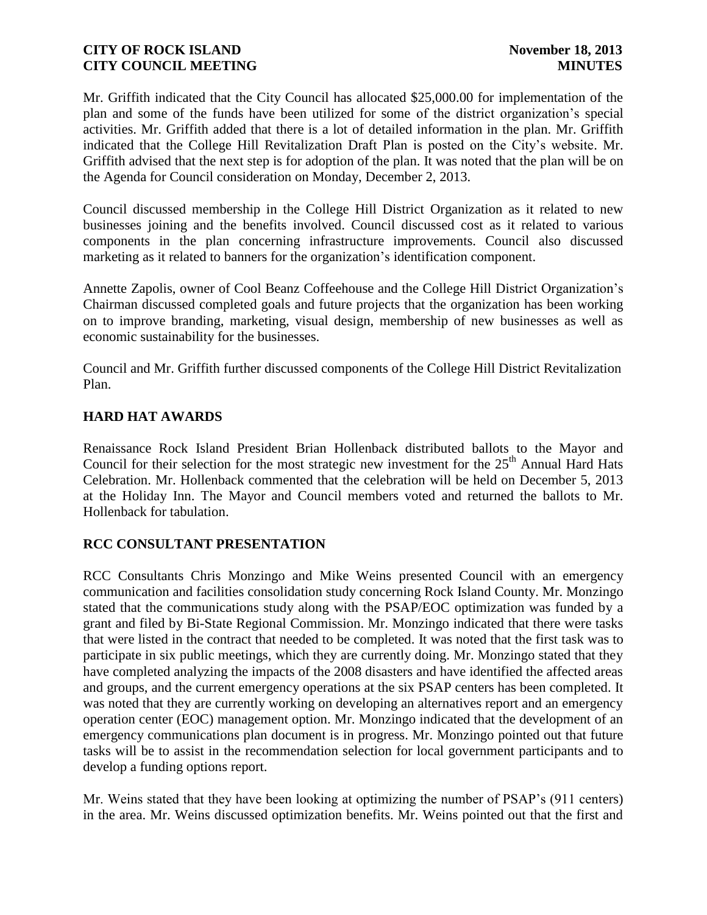Mr. Griffith indicated that the City Council has allocated \$25,000.00 for implementation of the plan and some of the funds have been utilized for some of the district organization's special activities. Mr. Griffith added that there is a lot of detailed information in the plan. Mr. Griffith indicated that the College Hill Revitalization Draft Plan is posted on the City's website. Mr. Griffith advised that the next step is for adoption of the plan. It was noted that the plan will be on the Agenda for Council consideration on Monday, December 2, 2013.

Council discussed membership in the College Hill District Organization as it related to new businesses joining and the benefits involved. Council discussed cost as it related to various components in the plan concerning infrastructure improvements. Council also discussed marketing as it related to banners for the organization's identification component.

Annette Zapolis, owner of Cool Beanz Coffeehouse and the College Hill District Organization's Chairman discussed completed goals and future projects that the organization has been working on to improve branding, marketing, visual design, membership of new businesses as well as economic sustainability for the businesses.

Council and Mr. Griffith further discussed components of the College Hill District Revitalization Plan.

# **HARD HAT AWARDS**

Renaissance Rock Island President Brian Hollenback distributed ballots to the Mayor and Council for their selection for the most strategic new investment for the  $25<sup>th</sup>$  Annual Hard Hats Celebration. Mr. Hollenback commented that the celebration will be held on December 5, 2013 at the Holiday Inn. The Mayor and Council members voted and returned the ballots to Mr. Hollenback for tabulation.

# **RCC CONSULTANT PRESENTATION**

RCC Consultants Chris Monzingo and Mike Weins presented Council with an emergency communication and facilities consolidation study concerning Rock Island County. Mr. Monzingo stated that the communications study along with the PSAP/EOC optimization was funded by a grant and filed by Bi-State Regional Commission. Mr. Monzingo indicated that there were tasks that were listed in the contract that needed to be completed. It was noted that the first task was to participate in six public meetings, which they are currently doing. Mr. Monzingo stated that they have completed analyzing the impacts of the 2008 disasters and have identified the affected areas and groups, and the current emergency operations at the six PSAP centers has been completed. It was noted that they are currently working on developing an alternatives report and an emergency operation center (EOC) management option. Mr. Monzingo indicated that the development of an emergency communications plan document is in progress. Mr. Monzingo pointed out that future tasks will be to assist in the recommendation selection for local government participants and to develop a funding options report.

Mr. Weins stated that they have been looking at optimizing the number of PSAP's (911 centers) in the area. Mr. Weins discussed optimization benefits. Mr. Weins pointed out that the first and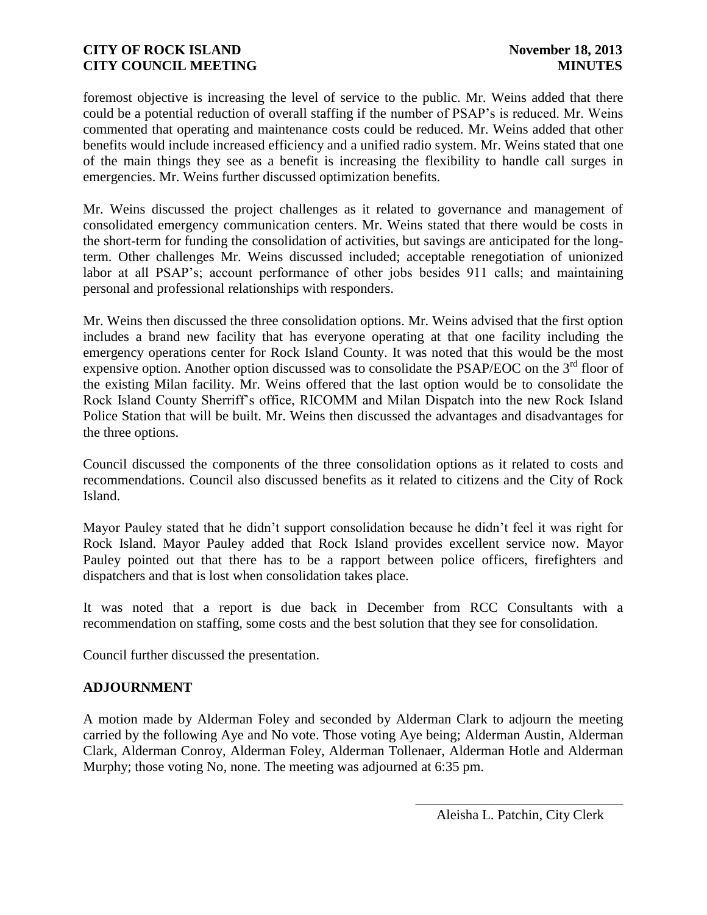foremost objective is increasing the level of service to the public. Mr. Weins added that there could be a potential reduction of overall staffing if the number of PSAP's is reduced. Mr. Weins commented that operating and maintenance costs could be reduced. Mr. Weins added that other benefits would include increased efficiency and a unified radio system. Mr. Weins stated that one of the main things they see as a benefit is increasing the flexibility to handle call surges in emergencies. Mr. Weins further discussed optimization benefits.

Mr. Weins discussed the project challenges as it related to governance and management of consolidated emergency communication centers. Mr. Weins stated that there would be costs in the short-term for funding the consolidation of activities, but savings are anticipated for the longterm. Other challenges Mr. Weins discussed included; acceptable renegotiation of unionized labor at all PSAP's; account performance of other jobs besides 911 calls; and maintaining personal and professional relationships with responders.

Mr. Weins then discussed the three consolidation options. Mr. Weins advised that the first option includes a brand new facility that has everyone operating at that one facility including the emergency operations center for Rock Island County. It was noted that this would be the most expensive option. Another option discussed was to consolidate the PSAP/EOC on the 3<sup>rd</sup> floor of the existing Milan facility. Mr. Weins offered that the last option would be to consolidate the Rock Island County Sherriff's office, RICOMM and Milan Dispatch into the new Rock Island Police Station that will be built. Mr. Weins then discussed the advantages and disadvantages for the three options.

Council discussed the components of the three consolidation options as it related to costs and recommendations. Council also discussed benefits as it related to citizens and the City of Rock Island.

Mayor Pauley stated that he didn't support consolidation because he didn't feel it was right for Rock Island. Mayor Pauley added that Rock Island provides excellent service now. Mayor Pauley pointed out that there has to be a rapport between police officers, firefighters and dispatchers and that is lost when consolidation takes place.

It was noted that a report is due back in December from RCC Consultants with a recommendation on staffing, some costs and the best solution that they see for consolidation.

Council further discussed the presentation.

# **ADJOURNMENT**

A motion made by Alderman Foley and seconded by Alderman Clark to adjourn the meeting carried by the following Aye and No vote. Those voting Aye being; Alderman Austin, Alderman Clark, Alderman Conroy, Alderman Foley, Alderman Tollenaer, Alderman Hotle and Alderman Murphy; those voting No, none. The meeting was adjourned at 6:35 pm.

\_\_\_\_\_\_\_\_\_\_\_\_\_\_\_\_\_\_\_\_\_\_\_\_\_\_\_\_\_\_ Aleisha L. Patchin, City Clerk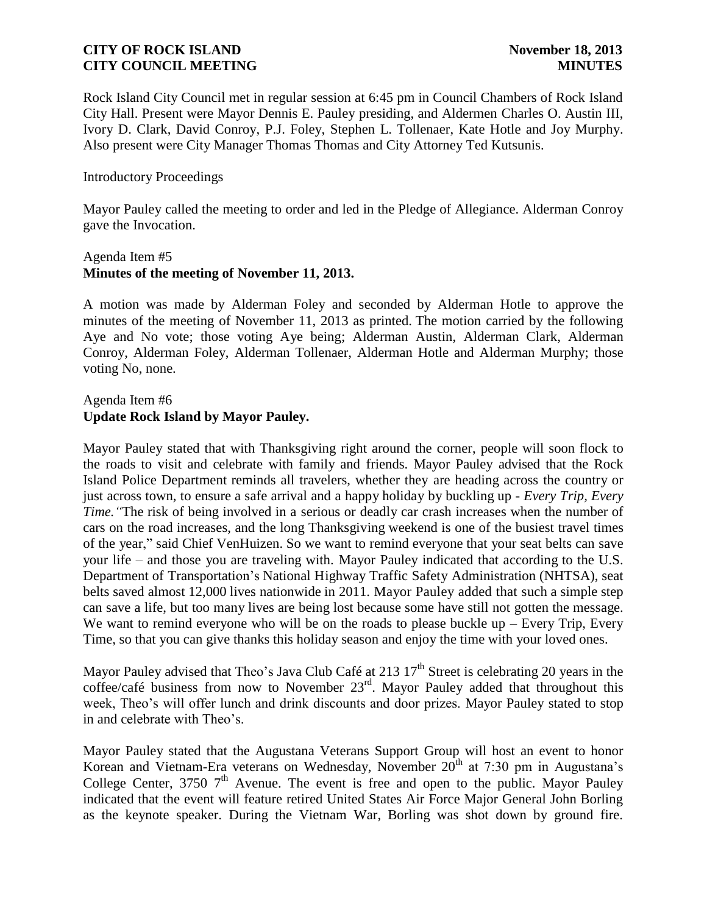Rock Island City Council met in regular session at 6:45 pm in Council Chambers of Rock Island City Hall. Present were Mayor Dennis E. Pauley presiding, and Aldermen Charles O. Austin III, Ivory D. Clark, David Conroy, P.J. Foley, Stephen L. Tollenaer, Kate Hotle and Joy Murphy. Also present were City Manager Thomas Thomas and City Attorney Ted Kutsunis.

### Introductory Proceedings

Mayor Pauley called the meeting to order and led in the Pledge of Allegiance. Alderman Conroy gave the Invocation.

### Agenda Item #5 **Minutes of the meeting of November 11, 2013.**

A motion was made by Alderman Foley and seconded by Alderman Hotle to approve the minutes of the meeting of November 11, 2013 as printed. The motion carried by the following Aye and No vote; those voting Aye being; Alderman Austin, Alderman Clark, Alderman Conroy, Alderman Foley, Alderman Tollenaer, Alderman Hotle and Alderman Murphy; those voting No, none.

## Agenda Item #6 **Update Rock Island by Mayor Pauley.**

Mayor Pauley stated that with Thanksgiving right around the corner, people will soon flock to the roads to visit and celebrate with family and friends. Mayor Pauley advised that the Rock Island Police Department reminds all travelers, whether they are heading across the country or just across town, to ensure a safe arrival and a happy holiday by buckling up *- Every Trip, Every Time.* "The risk of being involved in a serious or deadly car crash increases when the number of cars on the road increases, and the long Thanksgiving weekend is one of the busiest travel times of the year," said Chief VenHuizen. So we want to remind everyone that your seat belts can save your life – and those you are traveling with. Mayor Pauley indicated that according to the U.S. Department of Transportation's National Highway Traffic Safety Administration (NHTSA), seat belts saved almost 12,000 lives nationwide in 2011. Mayor Pauley added that such a simple step can save a life, but too many lives are being lost because some have still not gotten the message. We want to remind everyone who will be on the roads to please buckle up  $-$  Every Trip, Every Time, so that you can give thanks this holiday season and enjoy the time with your loved ones.

Mayor Pauley advised that Theo's Java Club Café at 213  $17<sup>th</sup>$  Street is celebrating 20 years in the coffee/café business from now to November  $23<sup>rd</sup>$ . Mayor Pauley added that throughout this week, Theo's will offer lunch and drink discounts and door prizes. Mayor Pauley stated to stop in and celebrate with Theo's.

Mayor Pauley stated that the Augustana Veterans Support Group will host an event to honor Korean and Vietnam-Era veterans on Wednesday, November 20<sup>th</sup> at 7:30 pm in Augustana's College Center, 3750  $7<sup>th</sup>$  Avenue. The event is free and open to the public. Mayor Pauley indicated that the event will feature retired United States Air Force Major General John Borling as the keynote speaker. During the Vietnam War, Borling was shot down by ground fire.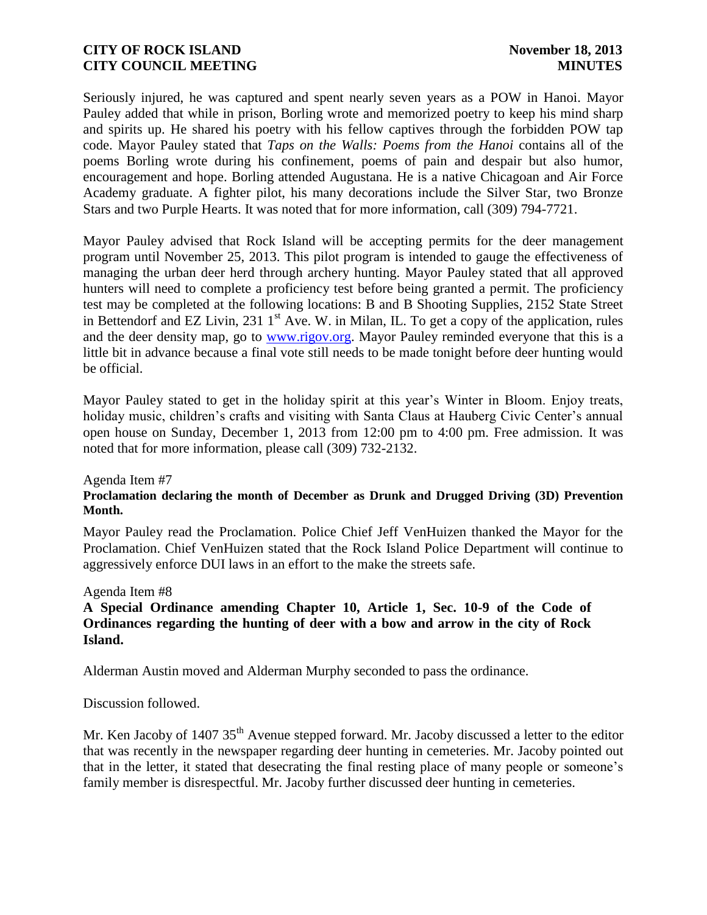Seriously injured, he was captured and spent nearly seven years as a POW in Hanoi. Mayor Pauley added that while in prison, Borling wrote and memorized poetry to keep his mind sharp and spirits up. He shared his poetry with his fellow captives through the forbidden POW tap code. Mayor Pauley stated that *Taps on the Walls: Poems from the Hanoi* contains all of the poems Borling wrote during his confinement, poems of pain and despair but also humor, encouragement and hope. Borling attended Augustana. He is a native Chicagoan and Air Force Academy graduate. A fighter pilot, his many decorations include the Silver Star, two Bronze Stars and two Purple Hearts. It was noted that for more information, call (309) 794-7721.

Mayor Pauley advised that Rock Island will be accepting permits for the deer management program until November 25, 2013. This pilot program is intended to gauge the effectiveness of managing the urban deer herd through archery hunting. Mayor Pauley stated that all approved hunters will need to complete a proficiency test before being granted a permit. The proficiency test may be completed at the following locations: B and B Shooting Supplies, 2152 State Street in Bettendorf and EZ Livin, 231  $1<sup>st</sup>$  Ave. W. in Milan, IL. To get a copy of the application, rules and the deer density map, go to [www.rigov.org.](http://www.rigov.org/) Mayor Pauley reminded everyone that this is a little bit in advance because a final vote still needs to be made tonight before deer hunting would be official.

Mayor Pauley stated to get in the holiday spirit at this year's Winter in Bloom. Enjoy treats, holiday music, children's crafts and visiting with Santa Claus at Hauberg Civic Center's annual open house on Sunday, December 1, 2013 from 12:00 pm to 4:00 pm. Free admission. It was noted that for more information, please call (309) 732-2132.

#### Agenda Item #7

#### **Proclamation declaring the month of December as Drunk and Drugged Driving (3D) Prevention Month.**

Mayor Pauley read the Proclamation. Police Chief Jeff VenHuizen thanked the Mayor for the Proclamation. Chief VenHuizen stated that the Rock Island Police Department will continue to aggressively enforce DUI laws in an effort to the make the streets safe.

#### Agenda Item #8

## **A Special Ordinance amending Chapter 10, Article 1, Sec. 10-9 of the Code of Ordinances regarding the hunting of deer with a bow and arrow in the city of Rock Island.**

Alderman Austin moved and Alderman Murphy seconded to pass the ordinance.

Discussion followed.

Mr. Ken Jacoby of 1407 35<sup>th</sup> Avenue stepped forward. Mr. Jacoby discussed a letter to the editor that was recently in the newspaper regarding deer hunting in cemeteries. Mr. Jacoby pointed out that in the letter, it stated that desecrating the final resting place of many people or someone's family member is disrespectful. Mr. Jacoby further discussed deer hunting in cemeteries.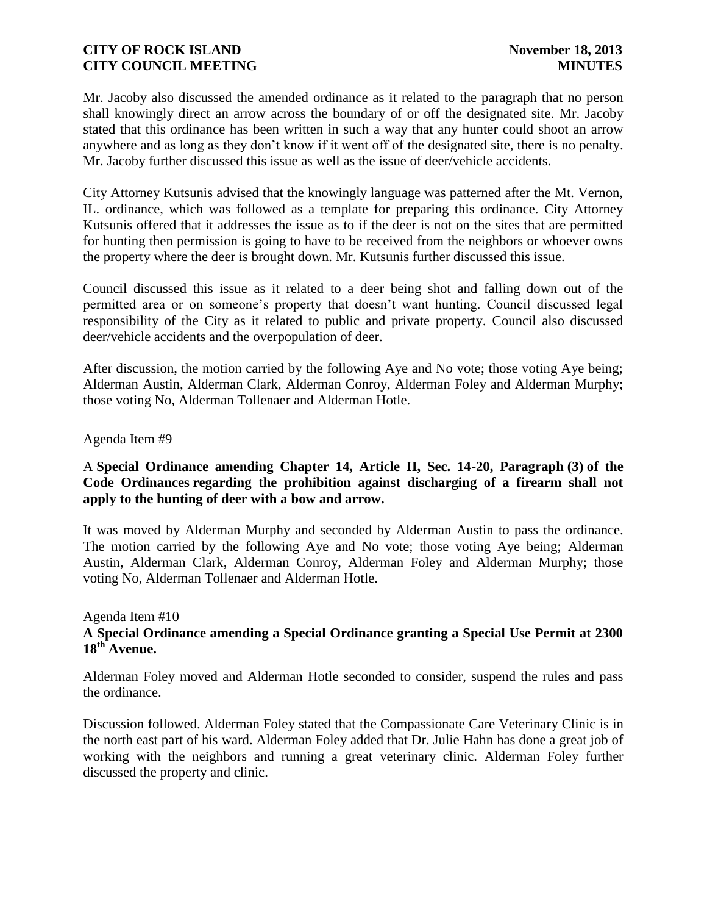Mr. Jacoby also discussed the amended ordinance as it related to the paragraph that no person shall knowingly direct an arrow across the boundary of or off the designated site. Mr. Jacoby stated that this ordinance has been written in such a way that any hunter could shoot an arrow anywhere and as long as they don't know if it went off of the designated site, there is no penalty. Mr. Jacoby further discussed this issue as well as the issue of deer/vehicle accidents.

City Attorney Kutsunis advised that the knowingly language was patterned after the Mt. Vernon, IL. ordinance, which was followed as a template for preparing this ordinance. City Attorney Kutsunis offered that it addresses the issue as to if the deer is not on the sites that are permitted for hunting then permission is going to have to be received from the neighbors or whoever owns the property where the deer is brought down. Mr. Kutsunis further discussed this issue.

Council discussed this issue as it related to a deer being shot and falling down out of the permitted area or on someone's property that doesn't want hunting. Council discussed legal responsibility of the City as it related to public and private property. Council also discussed deer/vehicle accidents and the overpopulation of deer.

After discussion, the motion carried by the following Aye and No vote; those voting Aye being; Alderman Austin, Alderman Clark, Alderman Conroy, Alderman Foley and Alderman Murphy; those voting No, Alderman Tollenaer and Alderman Hotle.

# Agenda Item #9

# A **Special Ordinance amending Chapter 14, Article II, Sec. 14-20, Paragraph (3) of the Code Ordinances regarding the prohibition against discharging of a firearm shall not apply to the hunting of deer with a bow and arrow.**

It was moved by Alderman Murphy and seconded by Alderman Austin to pass the ordinance. The motion carried by the following Aye and No vote; those voting Aye being; Alderman Austin, Alderman Clark, Alderman Conroy, Alderman Foley and Alderman Murphy; those voting No, Alderman Tollenaer and Alderman Hotle.

#### Agenda Item #10 **A Special Ordinance amending a Special Ordinance granting a Special Use Permit at 2300 18th Avenue.**

Alderman Foley moved and Alderman Hotle seconded to consider, suspend the rules and pass the ordinance.

Discussion followed. Alderman Foley stated that the Compassionate Care Veterinary Clinic is in the north east part of his ward. Alderman Foley added that Dr. Julie Hahn has done a great job of working with the neighbors and running a great veterinary clinic. Alderman Foley further discussed the property and clinic.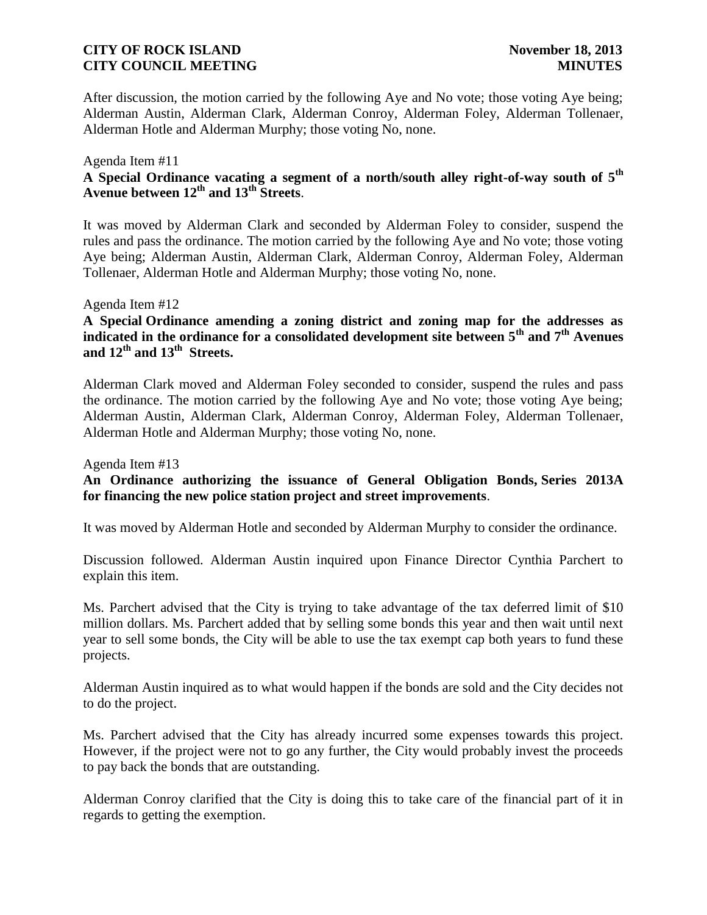After discussion, the motion carried by the following Aye and No vote; those voting Aye being; Alderman Austin, Alderman Clark, Alderman Conroy, Alderman Foley, Alderman Tollenaer, Alderman Hotle and Alderman Murphy; those voting No, none.

### Agenda Item #11

# **A Special Ordinance vacating a segment of a north/south alley right-of-way south of 5th Avenue between 12th and 13th Streets**.

It was moved by Alderman Clark and seconded by Alderman Foley to consider, suspend the rules and pass the ordinance. The motion carried by the following Aye and No vote; those voting Aye being; Alderman Austin, Alderman Clark, Alderman Conroy, Alderman Foley, Alderman Tollenaer, Alderman Hotle and Alderman Murphy; those voting No, none.

#### Agenda Item #12

# **A Special Ordinance amending a zoning district and zoning map for the addresses as indicated in the ordinance for a consolidated development site between 5th and 7th Avenues and 12th and 13th Streets.**

Alderman Clark moved and Alderman Foley seconded to consider, suspend the rules and pass the ordinance. The motion carried by the following Aye and No vote; those voting Aye being; Alderman Austin, Alderman Clark, Alderman Conroy, Alderman Foley, Alderman Tollenaer, Alderman Hotle and Alderman Murphy; those voting No, none.

Agenda Item #13

## **An Ordinance authorizing the issuance of General Obligation Bonds, Series 2013A for financing the new police station project and street improvements**.

It was moved by Alderman Hotle and seconded by Alderman Murphy to consider the ordinance.

Discussion followed. Alderman Austin inquired upon Finance Director Cynthia Parchert to explain this item.

Ms. Parchert advised that the City is trying to take advantage of the tax deferred limit of \$10 million dollars. Ms. Parchert added that by selling some bonds this year and then wait until next year to sell some bonds, the City will be able to use the tax exempt cap both years to fund these projects.

Alderman Austin inquired as to what would happen if the bonds are sold and the City decides not to do the project.

Ms. Parchert advised that the City has already incurred some expenses towards this project. However, if the project were not to go any further, the City would probably invest the proceeds to pay back the bonds that are outstanding.

Alderman Conroy clarified that the City is doing this to take care of the financial part of it in regards to getting the exemption.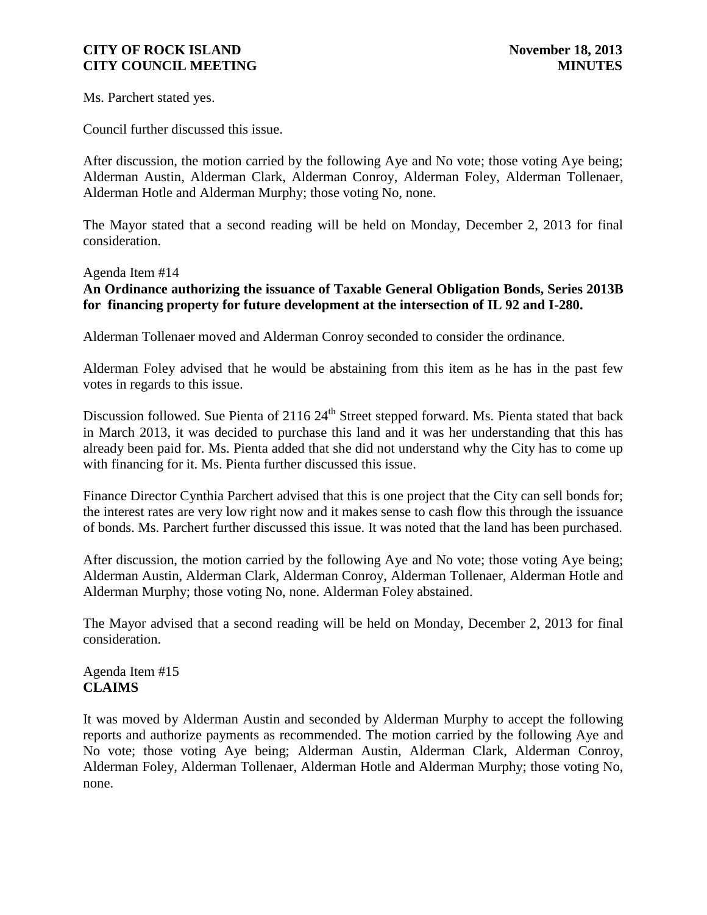Ms. Parchert stated yes.

Council further discussed this issue.

After discussion, the motion carried by the following Aye and No vote; those voting Aye being; Alderman Austin, Alderman Clark, Alderman Conroy, Alderman Foley, Alderman Tollenaer, Alderman Hotle and Alderman Murphy; those voting No, none.

The Mayor stated that a second reading will be held on Monday, December 2, 2013 for final consideration.

#### Agenda Item #14

**An Ordinance authorizing the issuance of Taxable General Obligation Bonds, Series 2013B for financing property for future development at the intersection of IL 92 and I-280.**

Alderman Tollenaer moved and Alderman Conroy seconded to consider the ordinance.

Alderman Foley advised that he would be abstaining from this item as he has in the past few votes in regards to this issue.

Discussion followed. Sue Pienta of 2116 24<sup>th</sup> Street stepped forward. Ms. Pienta stated that back in March 2013, it was decided to purchase this land and it was her understanding that this has already been paid for. Ms. Pienta added that she did not understand why the City has to come up with financing for it. Ms. Pienta further discussed this issue.

Finance Director Cynthia Parchert advised that this is one project that the City can sell bonds for; the interest rates are very low right now and it makes sense to cash flow this through the issuance of bonds. Ms. Parchert further discussed this issue. It was noted that the land has been purchased.

After discussion, the motion carried by the following Aye and No vote; those voting Aye being; Alderman Austin, Alderman Clark, Alderman Conroy, Alderman Tollenaer, Alderman Hotle and Alderman Murphy; those voting No, none. Alderman Foley abstained.

The Mayor advised that a second reading will be held on Monday, December 2, 2013 for final consideration.

Agenda Item #15 **CLAIMS**

It was moved by Alderman Austin and seconded by Alderman Murphy to accept the following reports and authorize payments as recommended. The motion carried by the following Aye and No vote; those voting Aye being; Alderman Austin, Alderman Clark, Alderman Conroy, Alderman Foley, Alderman Tollenaer, Alderman Hotle and Alderman Murphy; those voting No, none.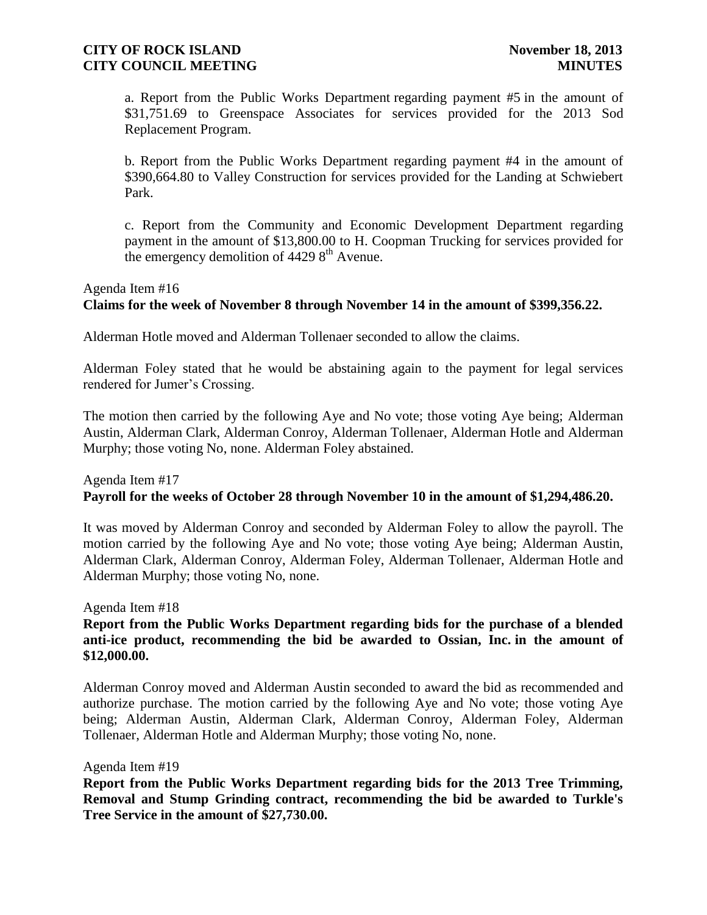a. Report from the Public Works Department regarding payment #5 in the amount of \$31,751.69 to Greenspace Associates for services provided for the 2013 Sod Replacement Program.

b. Report from the Public Works Department regarding payment #4 in the amount of \$390,664.80 to Valley Construction for services provided for the Landing at Schwiebert Park.

c. Report from the Community and Economic Development Department regarding payment in the amount of \$13,800.00 to H. Coopman Trucking for services provided for the emergency demolition of  $44298^{\text{th}}$  Avenue.

## Agenda Item #16 **Claims for the week of November 8 through November 14 in the amount of \$399,356.22.**

Alderman Hotle moved and Alderman Tollenaer seconded to allow the claims.

Alderman Foley stated that he would be abstaining again to the payment for legal services rendered for Jumer's Crossing.

The motion then carried by the following Aye and No vote; those voting Aye being; Alderman Austin, Alderman Clark, Alderman Conroy, Alderman Tollenaer, Alderman Hotle and Alderman Murphy; those voting No, none. Alderman Foley abstained.

## Agenda Item #17 **Payroll for the weeks of October 28 through November 10 in the amount of \$1,294,486.20.**

It was moved by Alderman Conroy and seconded by Alderman Foley to allow the payroll. The motion carried by the following Aye and No vote; those voting Aye being; Alderman Austin, Alderman Clark, Alderman Conroy, Alderman Foley, Alderman Tollenaer, Alderman Hotle and Alderman Murphy; those voting No, none.

Agenda Item #18

# **Report from the Public Works Department regarding bids for the purchase of a blended anti-ice product, recommending the bid be awarded to Ossian, Inc. in the amount of \$12,000.00.**

Alderman Conroy moved and Alderman Austin seconded to award the bid as recommended and authorize purchase. The motion carried by the following Aye and No vote; those voting Aye being; Alderman Austin, Alderman Clark, Alderman Conroy, Alderman Foley, Alderman Tollenaer, Alderman Hotle and Alderman Murphy; those voting No, none.

#### Agenda Item #19

**Report from the Public Works Department regarding bids for the 2013 Tree Trimming, Removal and Stump Grinding contract, recommending the bid be awarded to Turkle's Tree Service in the amount of \$27,730.00.**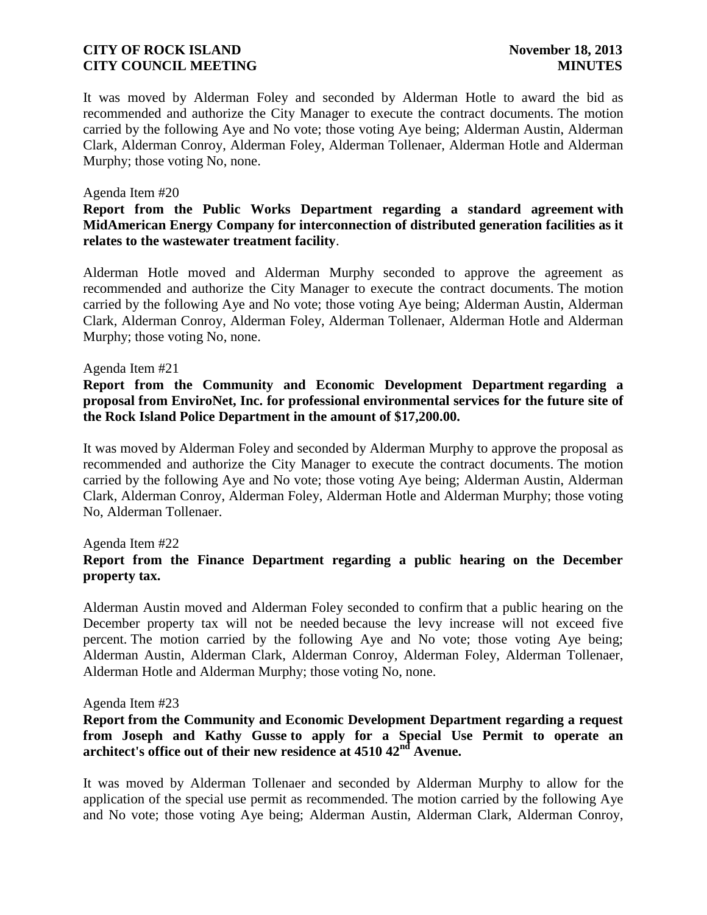It was moved by Alderman Foley and seconded by Alderman Hotle to award the bid as recommended and authorize the City Manager to execute the contract documents. The motion carried by the following Aye and No vote; those voting Aye being; Alderman Austin, Alderman Clark, Alderman Conroy, Alderman Foley, Alderman Tollenaer, Alderman Hotle and Alderman Murphy; those voting No, none.

#### Agenda Item #20

#### **Report from the Public Works Department regarding a standard agreement with MidAmerican Energy Company for interconnection of distributed generation facilities as it relates to the wastewater treatment facility**.

Alderman Hotle moved and Alderman Murphy seconded to approve the agreement as recommended and authorize the City Manager to execute the contract documents. The motion carried by the following Aye and No vote; those voting Aye being; Alderman Austin, Alderman Clark, Alderman Conroy, Alderman Foley, Alderman Tollenaer, Alderman Hotle and Alderman Murphy; those voting No, none.

#### Agenda Item #21

### **Report from the Community and Economic Development Department regarding a proposal from EnviroNet, Inc. for professional environmental services for the future site of the Rock Island Police Department in the amount of \$17,200.00.**

It was moved by Alderman Foley and seconded by Alderman Murphy to approve the proposal as recommended and authorize the City Manager to execute the contract documents. The motion carried by the following Aye and No vote; those voting Aye being; Alderman Austin, Alderman Clark, Alderman Conroy, Alderman Foley, Alderman Hotle and Alderman Murphy; those voting No, Alderman Tollenaer.

#### Agenda Item #22

## **Report from the Finance Department regarding a public hearing on the December property tax.**

Alderman Austin moved and Alderman Foley seconded to confirm that a public hearing on the December property tax will not be needed because the levy increase will not exceed five percent. The motion carried by the following Aye and No vote; those voting Aye being; Alderman Austin, Alderman Clark, Alderman Conroy, Alderman Foley, Alderman Tollenaer, Alderman Hotle and Alderman Murphy; those voting No, none.

#### Agenda Item #23

## **Report from the Community and Economic Development Department regarding a request from Joseph and Kathy Gusse to apply for a Special Use Permit to operate an architect's office out of their new residence at 4510 42nd Avenue.**

It was moved by Alderman Tollenaer and seconded by Alderman Murphy to allow for the application of the special use permit as recommended. The motion carried by the following Aye and No vote; those voting Aye being; Alderman Austin, Alderman Clark, Alderman Conroy,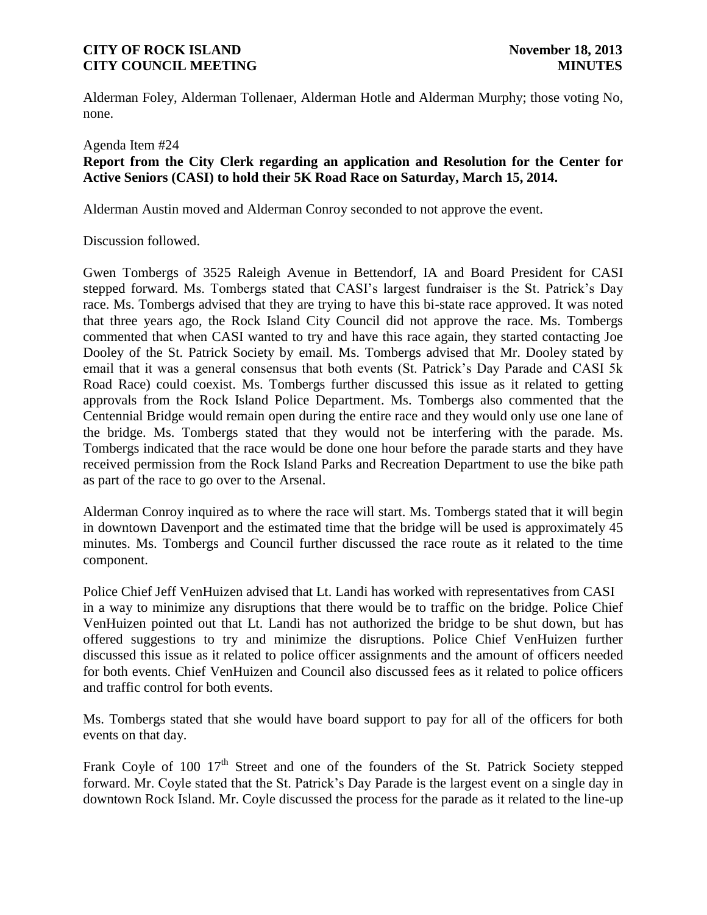Alderman Foley, Alderman Tollenaer, Alderman Hotle and Alderman Murphy; those voting No, none.

#### Agenda Item #24

## **Report from the City Clerk regarding an application and Resolution for the Center for Active Seniors (CASI) to hold their 5K Road Race on Saturday, March 15, 2014.**

Alderman Austin moved and Alderman Conroy seconded to not approve the event.

#### Discussion followed.

Gwen Tombergs of 3525 Raleigh Avenue in Bettendorf, IA and Board President for CASI stepped forward. Ms. Tombergs stated that CASI's largest fundraiser is the St. Patrick's Day race. Ms. Tombergs advised that they are trying to have this bi-state race approved. It was noted that three years ago, the Rock Island City Council did not approve the race. Ms. Tombergs commented that when CASI wanted to try and have this race again, they started contacting Joe Dooley of the St. Patrick Society by email. Ms. Tombergs advised that Mr. Dooley stated by email that it was a general consensus that both events (St. Patrick's Day Parade and CASI 5k Road Race) could coexist. Ms. Tombergs further discussed this issue as it related to getting approvals from the Rock Island Police Department. Ms. Tombergs also commented that the Centennial Bridge would remain open during the entire race and they would only use one lane of the bridge. Ms. Tombergs stated that they would not be interfering with the parade. Ms. Tombergs indicated that the race would be done one hour before the parade starts and they have received permission from the Rock Island Parks and Recreation Department to use the bike path as part of the race to go over to the Arsenal.

Alderman Conroy inquired as to where the race will start. Ms. Tombergs stated that it will begin in downtown Davenport and the estimated time that the bridge will be used is approximately 45 minutes. Ms. Tombergs and Council further discussed the race route as it related to the time component.

Police Chief Jeff VenHuizen advised that Lt. Landi has worked with representatives from CASI in a way to minimize any disruptions that there would be to traffic on the bridge. Police Chief VenHuizen pointed out that Lt. Landi has not authorized the bridge to be shut down, but has offered suggestions to try and minimize the disruptions. Police Chief VenHuizen further discussed this issue as it related to police officer assignments and the amount of officers needed for both events. Chief VenHuizen and Council also discussed fees as it related to police officers and traffic control for both events.

Ms. Tombergs stated that she would have board support to pay for all of the officers for both events on that day.

Frank Coyle of 100  $17<sup>th</sup>$  Street and one of the founders of the St. Patrick Society stepped forward. Mr. Coyle stated that the St. Patrick's Day Parade is the largest event on a single day in downtown Rock Island. Mr. Coyle discussed the process for the parade as it related to the line-up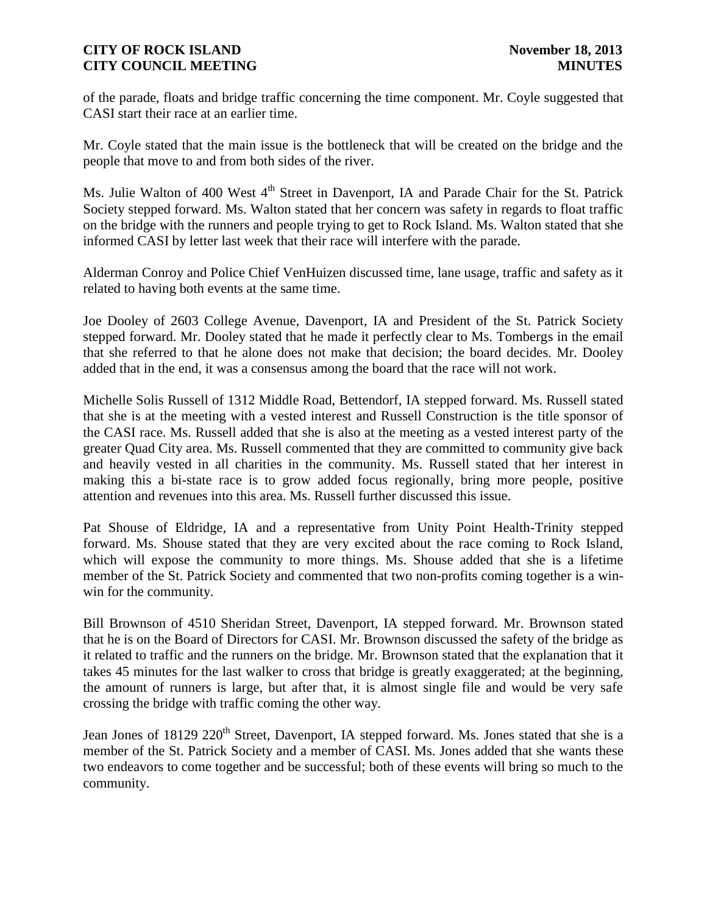of the parade, floats and bridge traffic concerning the time component. Mr. Coyle suggested that CASI start their race at an earlier time.

Mr. Coyle stated that the main issue is the bottleneck that will be created on the bridge and the people that move to and from both sides of the river.

Ms. Julie Walton of 400 West 4<sup>th</sup> Street in Davenport, IA and Parade Chair for the St. Patrick Society stepped forward. Ms. Walton stated that her concern was safety in regards to float traffic on the bridge with the runners and people trying to get to Rock Island. Ms. Walton stated that she informed CASI by letter last week that their race will interfere with the parade.

Alderman Conroy and Police Chief VenHuizen discussed time, lane usage, traffic and safety as it related to having both events at the same time.

Joe Dooley of 2603 College Avenue, Davenport, IA and President of the St. Patrick Society stepped forward. Mr. Dooley stated that he made it perfectly clear to Ms. Tombergs in the email that she referred to that he alone does not make that decision; the board decides. Mr. Dooley added that in the end, it was a consensus among the board that the race will not work.

Michelle Solis Russell of 1312 Middle Road, Bettendorf, IA stepped forward. Ms. Russell stated that she is at the meeting with a vested interest and Russell Construction is the title sponsor of the CASI race. Ms. Russell added that she is also at the meeting as a vested interest party of the greater Quad City area. Ms. Russell commented that they are committed to community give back and heavily vested in all charities in the community. Ms. Russell stated that her interest in making this a bi-state race is to grow added focus regionally, bring more people, positive attention and revenues into this area. Ms. Russell further discussed this issue.

Pat Shouse of Eldridge, IA and a representative from Unity Point Health-Trinity stepped forward. Ms. Shouse stated that they are very excited about the race coming to Rock Island, which will expose the community to more things. Ms. Shouse added that she is a lifetime member of the St. Patrick Society and commented that two non-profits coming together is a winwin for the community.

Bill Brownson of 4510 Sheridan Street, Davenport, IA stepped forward. Mr. Brownson stated that he is on the Board of Directors for CASI. Mr. Brownson discussed the safety of the bridge as it related to traffic and the runners on the bridge. Mr. Brownson stated that the explanation that it takes 45 minutes for the last walker to cross that bridge is greatly exaggerated; at the beginning, the amount of runners is large, but after that, it is almost single file and would be very safe crossing the bridge with traffic coming the other way.

Jean Jones of 18129 220<sup>th</sup> Street, Davenport, IA stepped forward. Ms. Jones stated that she is a member of the St. Patrick Society and a member of CASI. Ms. Jones added that she wants these two endeavors to come together and be successful; both of these events will bring so much to the community.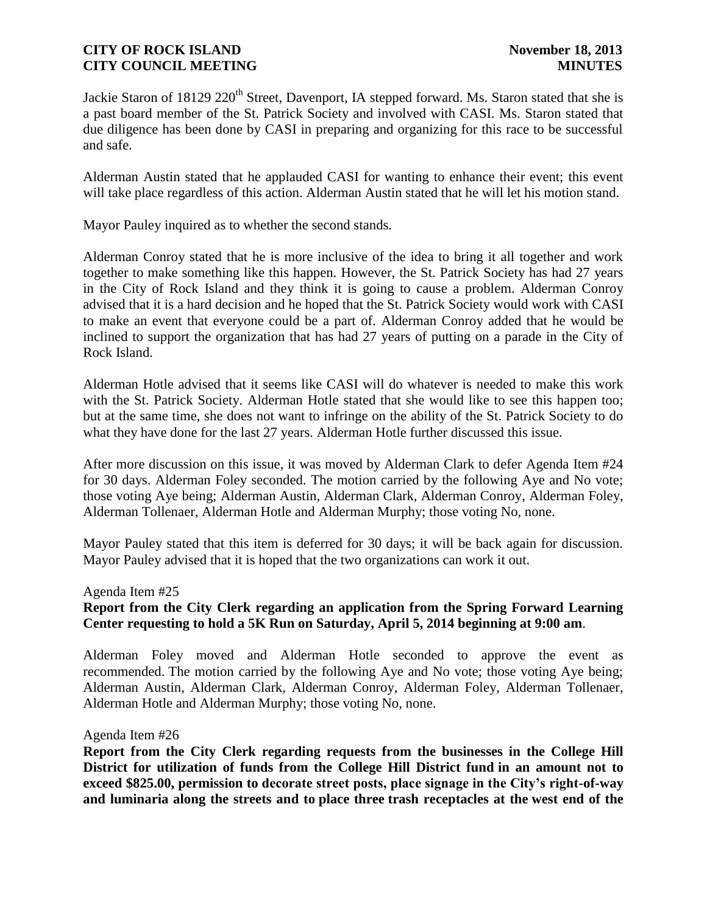Jackie Staron of 18129 220<sup>th</sup> Street, Davenport, IA stepped forward. Ms. Staron stated that she is a past board member of the St. Patrick Society and involved with CASI. Ms. Staron stated that due diligence has been done by CASI in preparing and organizing for this race to be successful and safe.

Alderman Austin stated that he applauded CASI for wanting to enhance their event; this event will take place regardless of this action. Alderman Austin stated that he will let his motion stand.

Mayor Pauley inquired as to whether the second stands.

Alderman Conroy stated that he is more inclusive of the idea to bring it all together and work together to make something like this happen. However, the St. Patrick Society has had 27 years in the City of Rock Island and they think it is going to cause a problem. Alderman Conroy advised that it is a hard decision and he hoped that the St. Patrick Society would work with CASI to make an event that everyone could be a part of. Alderman Conroy added that he would be inclined to support the organization that has had 27 years of putting on a parade in the City of Rock Island.

Alderman Hotle advised that it seems like CASI will do whatever is needed to make this work with the St. Patrick Society. Alderman Hotle stated that she would like to see this happen too; but at the same time, she does not want to infringe on the ability of the St. Patrick Society to do what they have done for the last 27 years. Alderman Hotle further discussed this issue.

After more discussion on this issue, it was moved by Alderman Clark to defer Agenda Item #24 for 30 days. Alderman Foley seconded. The motion carried by the following Aye and No vote; those voting Aye being; Alderman Austin, Alderman Clark, Alderman Conroy, Alderman Foley, Alderman Tollenaer, Alderman Hotle and Alderman Murphy; those voting No, none.

Mayor Pauley stated that this item is deferred for 30 days; it will be back again for discussion. Mayor Pauley advised that it is hoped that the two organizations can work it out.

#### Agenda Item #25

# **Report from the City Clerk regarding an application from the Spring Forward Learning Center requesting to hold a 5K Run on Saturday, April 5, 2014 beginning at 9:00 am**.

Alderman Foley moved and Alderman Hotle seconded to approve the event as recommended. The motion carried by the following Aye and No vote; those voting Aye being; Alderman Austin, Alderman Clark, Alderman Conroy, Alderman Foley, Alderman Tollenaer, Alderman Hotle and Alderman Murphy; those voting No, none.

#### Agenda Item #26

**Report from the City Clerk regarding requests from the businesses in the College Hill District for utilization of funds from the College Hill District fund in an amount not to exceed \$825.00, permission to decorate street posts, place signage in the City's right-of-way and luminaria along the streets and to place three trash receptacles at the west end of the**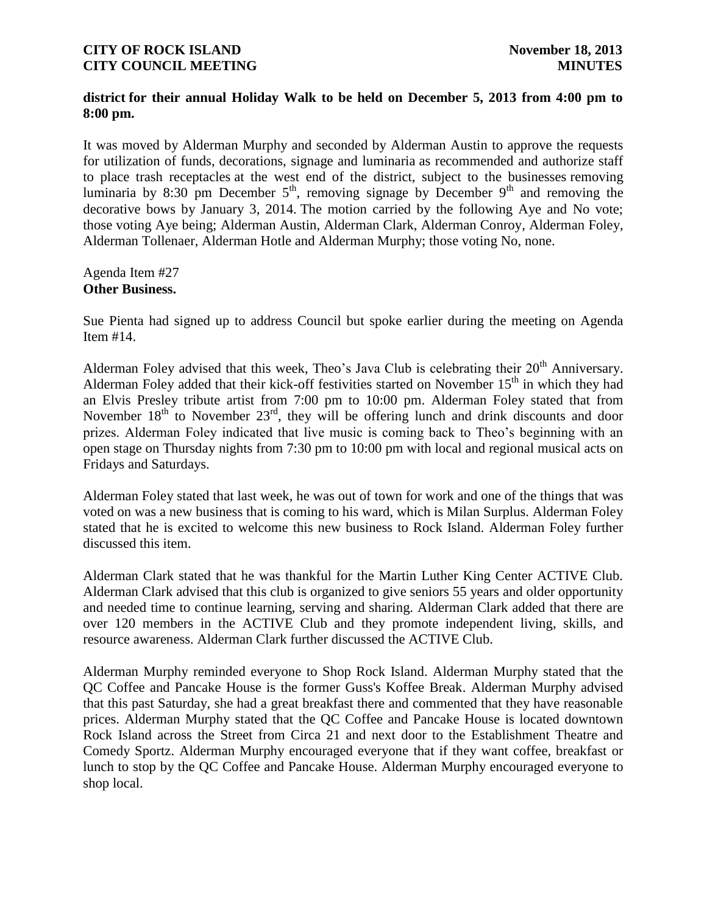## **district for their annual Holiday Walk to be held on December 5, 2013 from 4:00 pm to 8:00 pm.**

It was moved by Alderman Murphy and seconded by Alderman Austin to approve the requests for utilization of funds, decorations, signage and luminaria as recommended and authorize staff to place trash receptacles at the west end of the district, subject to the businesses removing luminaria by 8:30 pm December  $5<sup>th</sup>$ , removing signage by December  $9<sup>th</sup>$  and removing the decorative bows by January 3, 2014. The motion carried by the following Aye and No vote; those voting Aye being; Alderman Austin, Alderman Clark, Alderman Conroy, Alderman Foley, Alderman Tollenaer, Alderman Hotle and Alderman Murphy; those voting No, none.

#### Agenda Item #27 **Other Business.**

Sue Pienta had signed up to address Council but spoke earlier during the meeting on Agenda Item #14.

Alderman Foley advised that this week, Theo's Java Club is celebrating their  $20<sup>th</sup>$  Anniversary. Alderman Foley added that their kick-off festivities started on November  $15<sup>th</sup>$  in which they had an Elvis Presley tribute artist from 7:00 pm to 10:00 pm. Alderman Foley stated that from November  $18<sup>th</sup>$  to November  $23<sup>rd</sup>$ , they will be offering lunch and drink discounts and door prizes. Alderman Foley indicated that live music is coming back to Theo's beginning with an open stage on Thursday nights from 7:30 pm to 10:00 pm with local and regional musical acts on Fridays and Saturdays.

Alderman Foley stated that last week, he was out of town for work and one of the things that was voted on was a new business that is coming to his ward, which is Milan Surplus. Alderman Foley stated that he is excited to welcome this new business to Rock Island. Alderman Foley further discussed this item.

Alderman Clark stated that he was thankful for the Martin Luther King Center ACTIVE Club. Alderman Clark advised that this club is organized to give seniors 55 years and older opportunity and needed time to continue learning, serving and sharing. Alderman Clark added that there are over 120 members in the ACTIVE Club and they promote independent living, skills, and resource awareness. Alderman Clark further discussed the ACTIVE Club.

Alderman Murphy reminded everyone to Shop Rock Island. Alderman Murphy stated that the QC Coffee and Pancake House is the former Guss's Koffee Break. Alderman Murphy advised that this past Saturday, she had a great breakfast there and commented that they have reasonable prices. Alderman Murphy stated that the QC Coffee and Pancake House is located downtown Rock Island across the Street from Circa 21 and next door to the Establishment Theatre and Comedy Sportz. Alderman Murphy encouraged everyone that if they want coffee, breakfast or lunch to stop by the QC Coffee and Pancake House. Alderman Murphy encouraged everyone to shop local.